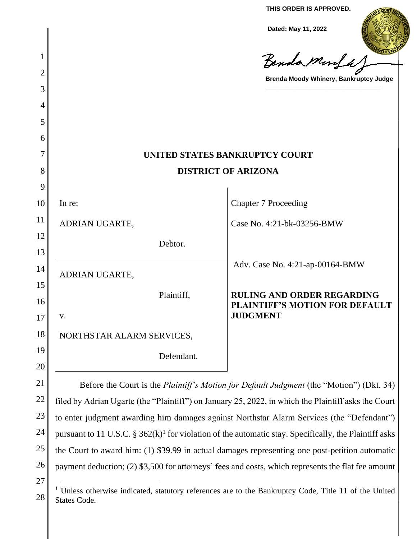**THIS ORDER IS APPROVED.**

**Dated: May 11, 2022**

|          |                                                                                                           | Dated: May 11, 2022                                                        |
|----------|-----------------------------------------------------------------------------------------------------------|----------------------------------------------------------------------------|
| 1        |                                                                                                           | Benda Murfa,                                                               |
| 2        |                                                                                                           | Brenda Moody Whinery, Bankruptcy Judge                                     |
| 3        |                                                                                                           |                                                                            |
| 4        |                                                                                                           |                                                                            |
| 5        |                                                                                                           |                                                                            |
| 6        |                                                                                                           |                                                                            |
| 7        | UNITED STATES BANKRUPTCY COURT                                                                            |                                                                            |
| 8        | <b>DISTRICT OF ARIZONA</b>                                                                                |                                                                            |
| 9        |                                                                                                           |                                                                            |
| 10       | In re:                                                                                                    | <b>Chapter 7 Proceeding</b>                                                |
| 11       | ADRIAN UGARTE,                                                                                            | Case No. 4:21-bk-03256-BMW                                                 |
| 12<br>13 | Debtor.                                                                                                   |                                                                            |
| 14       | ADRIAN UGARTE,                                                                                            | Adv. Case No. 4:21-ap-00164-BMW                                            |
| 15<br>16 | Plaintiff,                                                                                                | <b>RULING AND ORDER REGARDING</b><br><b>PLAINTIFF'S MOTION FOR DEFAULT</b> |
| 17       | V.                                                                                                        | <b>JUDGMENT</b>                                                            |
| 18       | NORTHSTAR ALARM SERVICES,                                                                                 |                                                                            |
| 19       | Defendant.                                                                                                |                                                                            |
| 20       |                                                                                                           |                                                                            |
| 21       | Before the Court is the <i>Plaintiff's Motion for Default Judgment</i> (the "Motion") (Dkt. 34)           |                                                                            |
| 22       | filed by Adrian Ugarte (the "Plaintiff") on January 25, 2022, in which the Plaintiff asks the Court       |                                                                            |
| 23       | to enter judgment awarding him damages against Northstar Alarm Services (the "Defendant")                 |                                                                            |
| 24       | pursuant to 11 U.S.C. $\S 362(k)^1$ for violation of the automatic stay. Specifically, the Plaintiff asks |                                                                            |

26 the Court to award him: (1) \$39.99 in actual damages representing one post-petition automatic payment deduction; (2) \$3,500 for attorneys' fees and costs, which represents the flat fee amount

<sup>27</sup>

<sup>28</sup> <sup>1</sup> Unless otherwise indicated, statutory references are to the Bankruptcy Code, Title 11 of the United States Code.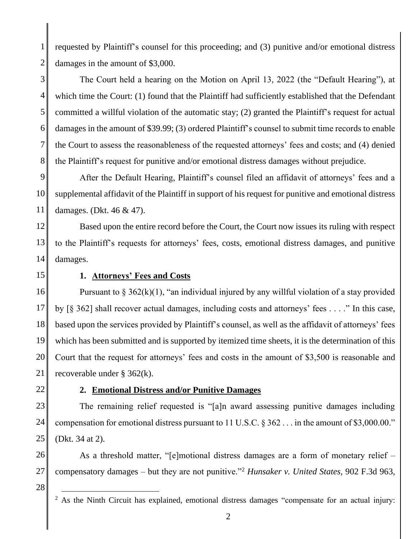1 2 requested by Plaintiff's counsel for this proceeding; and (3) punitive and/or emotional distress damages in the amount of \$3,000.

3 4 5 6 7 8 The Court held a hearing on the Motion on April 13, 2022 (the "Default Hearing"), at which time the Court: (1) found that the Plaintiff had sufficiently established that the Defendant committed a willful violation of the automatic stay; (2) granted the Plaintiff's request for actual damages in the amount of \$39.99; (3) ordered Plaintiff's counsel to submit time records to enable the Court to assess the reasonableness of the requested attorneys' fees and costs; and (4) denied the Plaintiff's request for punitive and/or emotional distress damages without prejudice.

9 10 11 After the Default Hearing, Plaintiff's counsel filed an affidavit of attorneys' fees and a supplemental affidavit of the Plaintiff in support of his request for punitive and emotional distress damages. (Dkt. 46 & 47).

12 13 14 Based upon the entire record before the Court, the Court now issues its ruling with respect to the Plaintiff's requests for attorneys' fees, costs, emotional distress damages, and punitive damages.

15

## **1. Attorneys' Fees and Costs**

16 17 18 19 20 21 Pursuant to  $\S 362(k)(1)$ , "an individual injured by any willful violation of a stay provided by [§ 362] shall recover actual damages, including costs and attorneys' fees . . . ." In this case, based upon the services provided by Plaintiff's counsel, as well as the affidavit of attorneys' fees which has been submitted and is supported by itemized time sheets, it is the determination of this Court that the request for attorneys' fees and costs in the amount of \$3,500 is reasonable and recoverable under § 362(k).

22

## **2. Emotional Distress and/or Punitive Damages**

23 24 25 The remaining relief requested is "[a]n award assessing punitive damages including compensation for emotional distress pursuant to 11 U.S.C. § 362 . . . in the amount of \$3,000.00." (Dkt. 34 at 2).

26 27 As a threshold matter, "[e]motional distress damages are a form of monetary relief – compensatory damages – but they are not punitive."<sup>2</sup> *Hunsaker v. United States*, 902 F.3d 963,

<sup>&</sup>lt;sup>2</sup> As the Ninth Circuit has explained, emotional distress damages "compensate for an actual injury: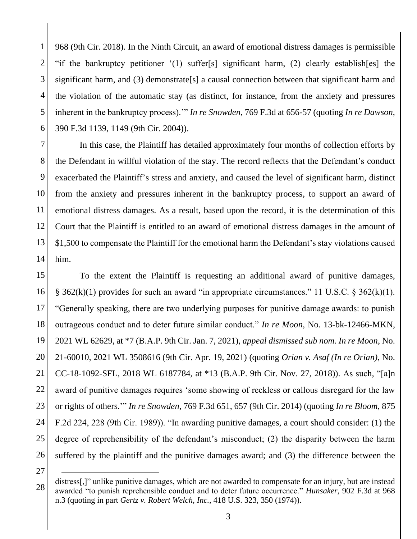1 2 3 4 5 6 968 (9th Cir. 2018). In the Ninth Circuit, an award of emotional distress damages is permissible "if the bankruptcy petitioner '(1) suffer[s] significant harm, (2) clearly establish[es] the significant harm, and (3) demonstrate [s] a causal connection between that significant harm and the violation of the automatic stay (as distinct, for instance, from the anxiety and pressures inherent in the bankruptcy process).'" *In re Snowden*, 769 F.3d at 656-57 (quoting *In re Dawson*, 390 F.3d 1139, 1149 (9th Cir. 2004)).

7 8 9 10 11 12 13 14 In this case, the Plaintiff has detailed approximately four months of collection efforts by the Defendant in willful violation of the stay. The record reflects that the Defendant's conduct exacerbated the Plaintiff's stress and anxiety, and caused the level of significant harm, distinct from the anxiety and pressures inherent in the bankruptcy process, to support an award of emotional distress damages. As a result, based upon the record, it is the determination of this Court that the Plaintiff is entitled to an award of emotional distress damages in the amount of \$1,500 to compensate the Plaintiff for the emotional harm the Defendant's stay violations caused him.

15 16 17 18 19 20 21 22 23 24 25 26 To the extent the Plaintiff is requesting an additional award of punitive damages, § 362(k)(1) provides for such an award "in appropriate circumstances." 11 U.S.C. § 362(k)(1). "Generally speaking, there are two underlying purposes for punitive damage awards: to punish outrageous conduct and to deter future similar conduct." *In re Moon*, No. 13-bk-12466-MKN, 2021 WL 62629, at \*7 (B.A.P. 9th Cir. Jan. 7, 2021), *appeal dismissed sub nom. In re Moon*, No. 21-60010, 2021 WL 3508616 (9th Cir. Apr. 19, 2021) (quoting *Orian v. Asaf (In re Orian)*, No. CC-18-1092-SFL, 2018 WL 6187784, at \*13 (B.A.P. 9th Cir. Nov. 27, 2018)). As such, "[a]n award of punitive damages requires 'some showing of reckless or callous disregard for the law or rights of others.'" *In re Snowden*, 769 F.3d 651, 657 (9th Cir. 2014) (quoting *In re Bloom*, 875 F.2d 224, 228 (9th Cir. 1989)). "In awarding punitive damages, a court should consider: (1) the degree of reprehensibility of the defendant's misconduct; (2) the disparity between the harm suffered by the plaintiff and the punitive damages award; and (3) the difference between the

<sup>28</sup> distress[,]" unlike punitive damages, which are not awarded to compensate for an injury, but are instead awarded "to punish reprehensible conduct and to deter future occurrence." *Hunsaker*, 902 F.3d at 968 n.3 (quoting in part *Gertz v. Robert Welch, Inc.*, 418 U.S. 323, 350 (1974)).